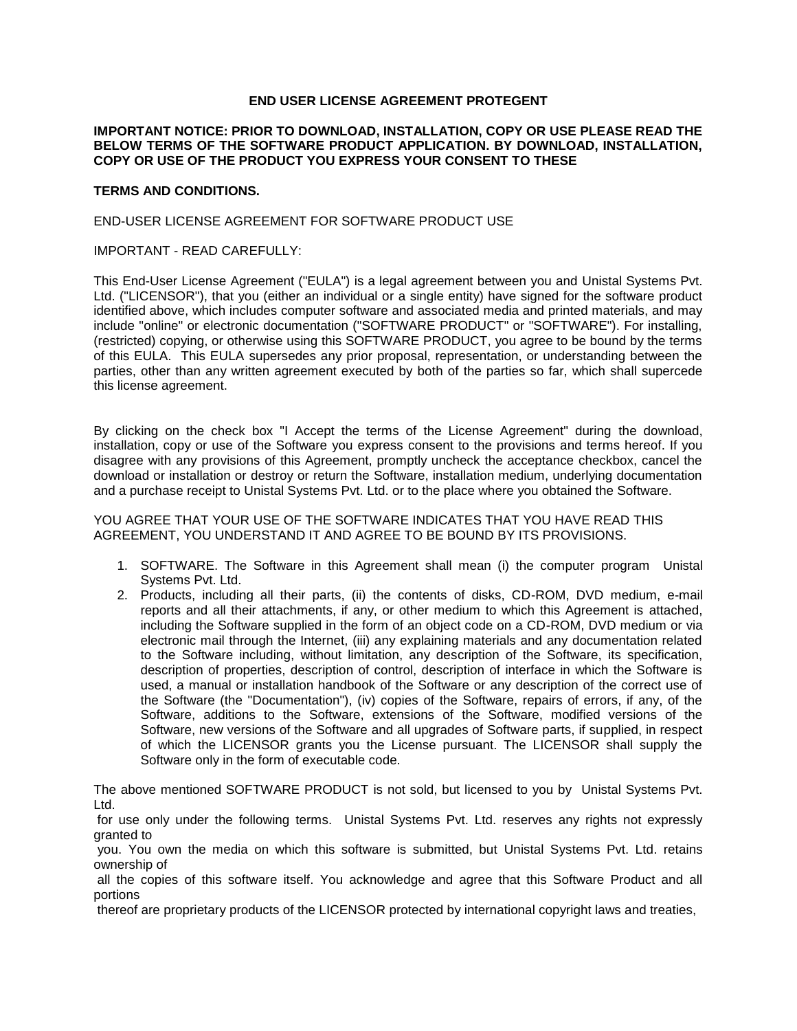# **END USER LICENSE AGREEMENT PROTEGENT**

## **IMPORTANT NOTICE: PRIOR TO DOWNLOAD, INSTALLATION, COPY OR USE PLEASE READ THE BELOW TERMS OF THE SOFTWARE PRODUCT APPLICATION. BY DOWNLOAD, INSTALLATION, COPY OR USE OF THE PRODUCT YOU EXPRESS YOUR CONSENT TO THESE**

## **TERMS AND CONDITIONS.**

### END-USER LICENSE AGREEMENT FOR SOFTWARE PRODUCT USE

## IMPORTANT - READ CAREFULLY:

This End-User License Agreement ("EULA") is a legal agreement between you and Unistal Systems Pvt. Ltd. ("LICENSOR"), that you (either an individual or a single entity) have signed for the software product identified above, which includes computer software and associated media and printed materials, and may include "online" or electronic documentation ("SOFTWARE PRODUCT" or "SOFTWARE"). For installing, (restricted) copying, or otherwise using this SOFTWARE PRODUCT, you agree to be bound by the terms of this EULA. This EULA supersedes any prior proposal, representation, or understanding between the parties, other than any written agreement executed by both of the parties so far, which shall supercede this license agreement.

By clicking on the check box "I Accept the terms of the License Agreement" during the download, installation, copy or use of the Software you express consent to the provisions and terms hereof. If you disagree with any provisions of this Agreement, promptly uncheck the acceptance checkbox, cancel the download or installation or destroy or return the Software, installation medium, underlying documentation and a purchase receipt to Unistal Systems Pvt. Ltd. or to the place where you obtained the Software.

YOU AGREE THAT YOUR USE OF THE SOFTWARE INDICATES THAT YOU HAVE READ THIS AGREEMENT, YOU UNDERSTAND IT AND AGREE TO BE BOUND BY ITS PROVISIONS.

- 1. SOFTWARE. The Software in this Agreement shall mean (i) the computer program Unistal Systems Pvt. Ltd.
- 2. Products, including all their parts, (ii) the contents of disks, CD-ROM, DVD medium, e-mail reports and all their attachments, if any, or other medium to which this Agreement is attached, including the Software supplied in the form of an object code on a CD-ROM, DVD medium or via electronic mail through the Internet, (iii) any explaining materials and any documentation related to the Software including, without limitation, any description of the Software, its specification, description of properties, description of control, description of interface in which the Software is used, a manual or installation handbook of the Software or any description of the correct use of the Software (the "Documentation"), (iv) copies of the Software, repairs of errors, if any, of the Software, additions to the Software, extensions of the Software, modified versions of the Software, new versions of the Software and all upgrades of Software parts, if supplied, in respect of which the LICENSOR grants you the License pursuant. The LICENSOR shall supply the Software only in the form of executable code.

The above mentioned SOFTWARE PRODUCT is not sold, but licensed to you by Unistal Systems Pvt. Ltd.

for use only under the following terms. Unistal Systems Pvt. Ltd. reserves any rights not expressly granted to

you. You own the media on which this software is submitted, but Unistal Systems Pvt. Ltd. retains ownership of

all the copies of this software itself. You acknowledge and agree that this Software Product and all portions

thereof are proprietary products of the LICENSOR protected by international copyright laws and treaties,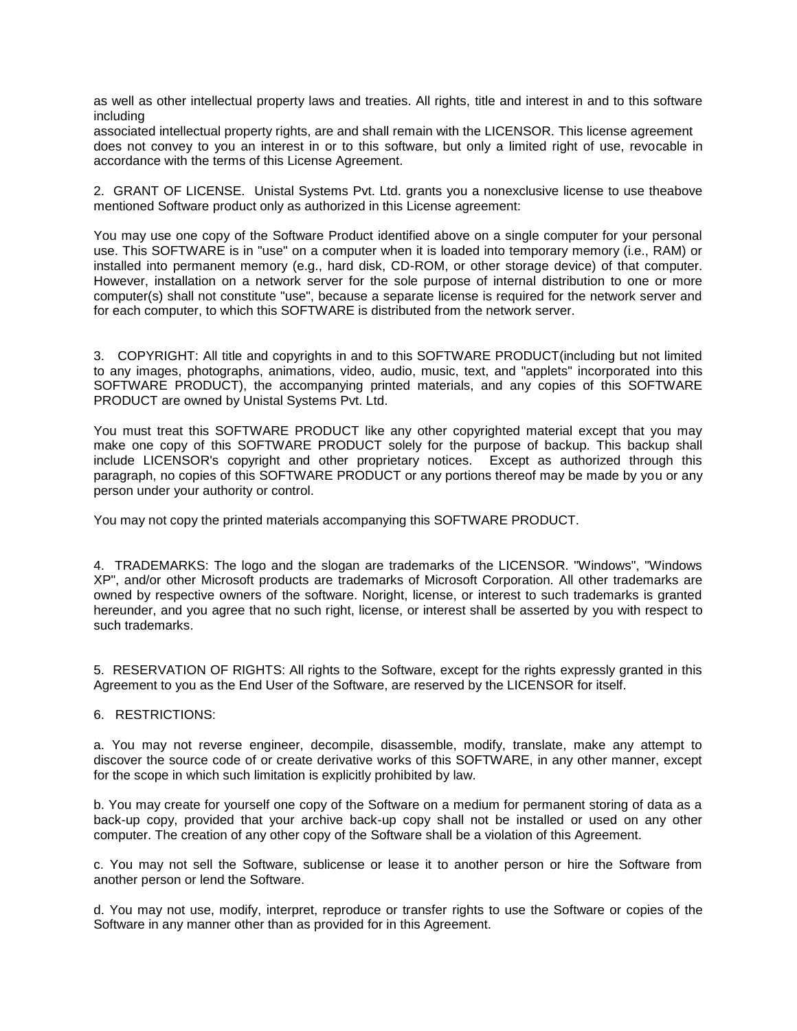as well as other intellectual property laws and treaties. All rights, title and interest in and to this software including

associated intellectual property rights, are and shall remain with the LICENSOR. This license agreement does not convey to you an interest in or to this software, but only a limited right of use, revocable in accordance with the terms of this License Agreement.

2. GRANT OF LICENSE. Unistal Systems Pvt. Ltd. grants you a nonexclusive license to use theabove mentioned Software product only as authorized in this License agreement:

You may use one copy of the Software Product identified above on a single computer for your personal use. This SOFTWARE is in "use" on a computer when it is loaded into temporary memory (i.e., RAM) or installed into permanent memory (e.g., hard disk, CD-ROM, or other storage device) of that computer. However, installation on a network server for the sole purpose of internal distribution to one or more computer(s) shall not constitute "use", because a separate license is required for the network server and for each computer, to which this SOFTWARE is distributed from the network server.

3. COPYRIGHT: All title and copyrights in and to this SOFTWARE PRODUCT(including but not limited to any images, photographs, animations, video, audio, music, text, and "applets" incorporated into this SOFTWARE PRODUCT), the accompanying printed materials, and any copies of this SOFTWARE PRODUCT are owned by Unistal Systems Pvt. Ltd.

You must treat this SOFTWARE PRODUCT like any other copyrighted material except that you may make one copy of this SOFTWARE PRODUCT solely for the purpose of backup. This backup shall include LICENSOR's copyright and other proprietary notices. Except as authorized through this paragraph, no copies of this SOFTWARE PRODUCT or any portions thereof may be made by you or any person under your authority or control.

You may not copy the printed materials accompanying this SOFTWARE PRODUCT.

4. TRADEMARKS: The logo and the slogan are trademarks of the LICENSOR. "Windows", "Windows XP", and/or other Microsoft products are trademarks of Microsoft Corporation. All other trademarks are owned by respective owners of the software. Noright, license, or interest to such trademarks is granted hereunder, and you agree that no such right, license, or interest shall be asserted by you with respect to such trademarks.

5. RESERVATION OF RIGHTS: All rights to the Software, except for the rights expressly granted in this Agreement to you as the End User of the Software, are reserved by the LICENSOR for itself.

6. RESTRICTIONS:

a. You may not reverse engineer, decompile, disassemble, modify, translate, make any attempt to discover the source code of or create derivative works of this SOFTWARE, in any other manner, except for the scope in which such limitation is explicitly prohibited by law.

b. You may create for yourself one copy of the Software on a medium for permanent storing of data as a back-up copy, provided that your archive back-up copy shall not be installed or used on any other computer. The creation of any other copy of the Software shall be a violation of this Agreement.

c. You may not sell the Software, sublicense or lease it to another person or hire the Software from another person or lend the Software.

d. You may not use, modify, interpret, reproduce or transfer rights to use the Software or copies of the Software in any manner other than as provided for in this Agreement.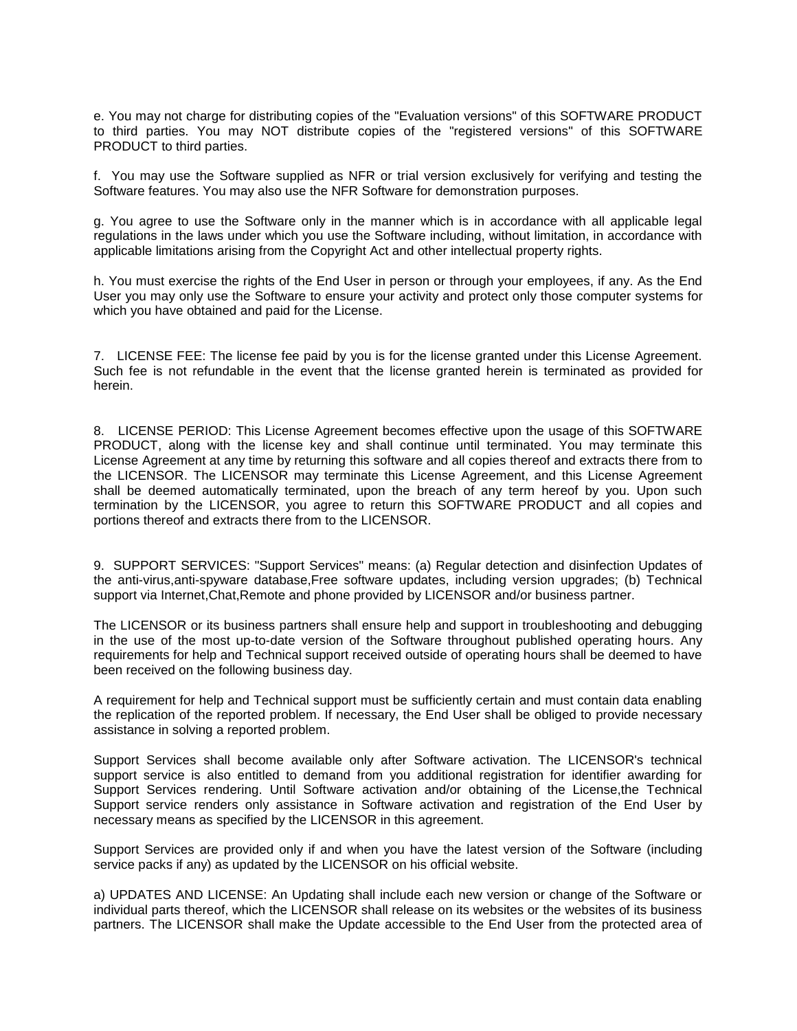e. You may not charge for distributing copies of the "Evaluation versions" of this SOFTWARE PRODUCT to third parties. You may NOT distribute copies of the "registered versions" of this SOFTWARE PRODUCT to third parties.

f. You may use the Software supplied as NFR or trial version exclusively for verifying and testing the Software features. You may also use the NFR Software for demonstration purposes.

g. You agree to use the Software only in the manner which is in accordance with all applicable legal regulations in the laws under which you use the Software including, without limitation, in accordance with applicable limitations arising from the Copyright Act and other intellectual property rights.

h. You must exercise the rights of the End User in person or through your employees, if any. As the End User you may only use the Software to ensure your activity and protect only those computer systems for which you have obtained and paid for the License.

7. LICENSE FEE: The license fee paid by you is for the license granted under this License Agreement. Such fee is not refundable in the event that the license granted herein is terminated as provided for herein.

8. LICENSE PERIOD: This License Agreement becomes effective upon the usage of this SOFTWARE PRODUCT, along with the license key and shall continue until terminated. You may terminate this License Agreement at any time by returning this software and all copies thereof and extracts there from to the LICENSOR. The LICENSOR may terminate this License Agreement, and this License Agreement shall be deemed automatically terminated, upon the breach of any term hereof by you. Upon such termination by the LICENSOR, you agree to return this SOFTWARE PRODUCT and all copies and portions thereof and extracts there from to the LICENSOR.

9. SUPPORT SERVICES: "Support Services" means: (a) Regular detection and disinfection Updates of the anti-virus,anti-spyware database,Free software updates, including version upgrades; (b) Technical support via Internet, Chat, Remote and phone provided by LICENSOR and/or business partner.

The LICENSOR or its business partners shall ensure help and support in troubleshooting and debugging in the use of the most up-to-date version of the Software throughout published operating hours. Any requirements for help and Technical support received outside of operating hours shall be deemed to have been received on the following business day.

A requirement for help and Technical support must be sufficiently certain and must contain data enabling the replication of the reported problem. If necessary, the End User shall be obliged to provide necessary assistance in solving a reported problem.

Support Services shall become available only after Software activation. The LICENSOR's technical support service is also entitled to demand from you additional registration for identifier awarding for Support Services rendering. Until Software activation and/or obtaining of the License,the Technical Support service renders only assistance in Software activation and registration of the End User by necessary means as specified by the LICENSOR in this agreement.

Support Services are provided only if and when you have the latest version of the Software (including service packs if any) as updated by the LICENSOR on his official website.

a) UPDATES AND LICENSE: An Updating shall include each new version or change of the Software or individual parts thereof, which the LICENSOR shall release on its websites or the websites of its business partners. The LICENSOR shall make the Update accessible to the End User from the protected area of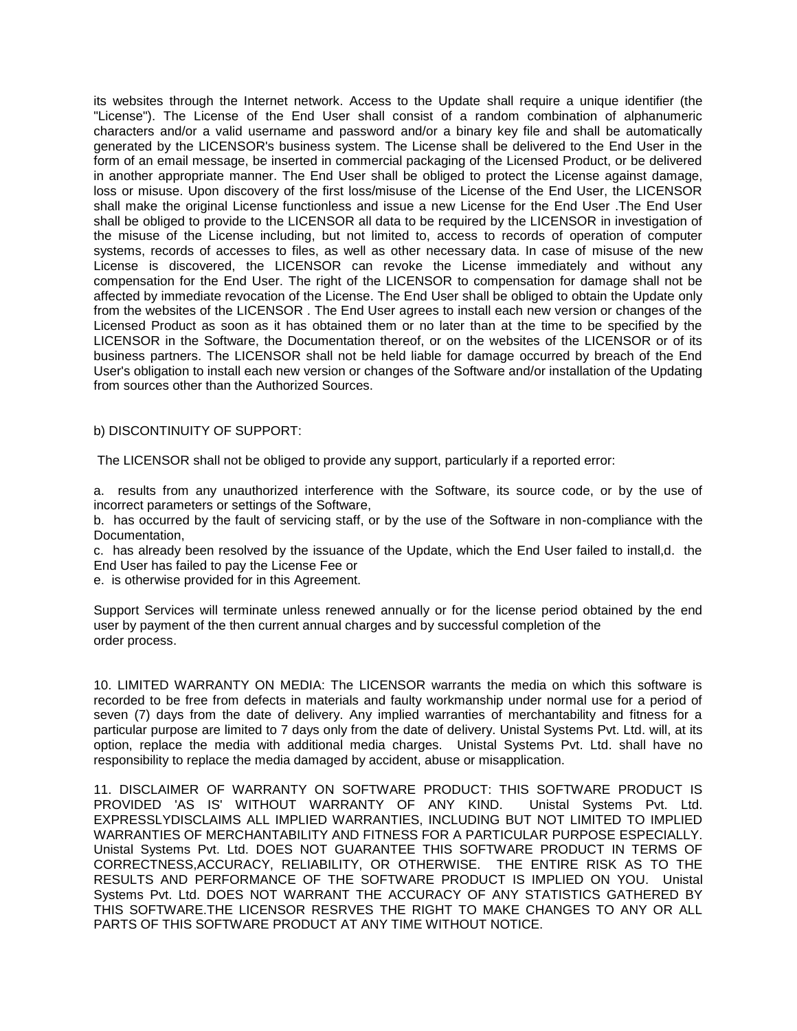its websites through the Internet network. Access to the Update shall require a unique identifier (the "License"). The License of the End User shall consist of a random combination of alphanumeric characters and/or a valid username and password and/or a binary key file and shall be automatically generated by the LICENSOR's business system. The License shall be delivered to the End User in the form of an email message, be inserted in commercial packaging of the Licensed Product, or be delivered in another appropriate manner. The End User shall be obliged to protect the License against damage, loss or misuse. Upon discovery of the first loss/misuse of the License of the End User, the LICENSOR shall make the original License functionless and issue a new License for the End User .The End User shall be obliged to provide to the LICENSOR all data to be required by the LICENSOR in investigation of the misuse of the License including, but not limited to, access to records of operation of computer systems, records of accesses to files, as well as other necessary data. In case of misuse of the new License is discovered, the LICENSOR can revoke the License immediately and without any compensation for the End User. The right of the LICENSOR to compensation for damage shall not be affected by immediate revocation of the License. The End User shall be obliged to obtain the Update only from the websites of the LICENSOR . The End User agrees to install each new version or changes of the Licensed Product as soon as it has obtained them or no later than at the time to be specified by the LICENSOR in the Software, the Documentation thereof, or on the websites of the LICENSOR or of its business partners. The LICENSOR shall not be held liable for damage occurred by breach of the End User's obligation to install each new version or changes of the Software and/or installation of the Updating from sources other than the Authorized Sources.

# b) DISCONTINUITY OF SUPPORT:

The LICENSOR shall not be obliged to provide any support, particularly if a reported error:

a. results from any unauthorized interference with the Software, its source code, or by the use of incorrect parameters or settings of the Software,

b. has occurred by the fault of servicing staff, or by the use of the Software in non-compliance with the Documentation,

c. has already been resolved by the issuance of the Update, which the End User failed to install,d. the End User has failed to pay the License Fee or

e. is otherwise provided for in this Agreement.

Support Services will terminate unless renewed annually or for the license period obtained by the end user by payment of the then current annual charges and by successful completion of the order process.

10. LIMITED WARRANTY ON MEDIA: The LICENSOR warrants the media on which this software is recorded to be free from defects in materials and faulty workmanship under normal use for a period of seven (7) days from the date of delivery. Any implied warranties of merchantability and fitness for a particular purpose are limited to 7 days only from the date of delivery. Unistal Systems Pvt. Ltd. will, at its option, replace the media with additional media charges. Unistal Systems Pvt. Ltd. shall have no responsibility to replace the media damaged by accident, abuse or misapplication.

11. DISCLAIMER OF WARRANTY ON SOFTWARE PRODUCT: THIS SOFTWARE PRODUCT IS PROVIDED 'AS IS' WITHOUT WARRANTY OF ANY KIND. Unistal Systems Pvt. Ltd. EXPRESSLYDISCLAIMS ALL IMPLIED WARRANTIES, INCLUDING BUT NOT LIMITED TO IMPLIED WARRANTIES OF MERCHANTABILITY AND FITNESS FOR A PARTICULAR PURPOSE ESPECIALLY. Unistal Systems Pvt. Ltd. DOES NOT GUARANTEE THIS SOFTWARE PRODUCT IN TERMS OF CORRECTNESS,ACCURACY, RELIABILITY, OR OTHERWISE. THE ENTIRE RISK AS TO THE RESULTS AND PERFORMANCE OF THE SOFTWARE PRODUCT IS IMPLIED ON YOU. Unistal Systems Pvt. Ltd. DOES NOT WARRANT THE ACCURACY OF ANY STATISTICS GATHERED BY THIS SOFTWARE.THE LICENSOR RESRVES THE RIGHT TO MAKE CHANGES TO ANY OR ALL PARTS OF THIS SOFTWARE PRODUCT AT ANY TIME WITHOUT NOTICE.